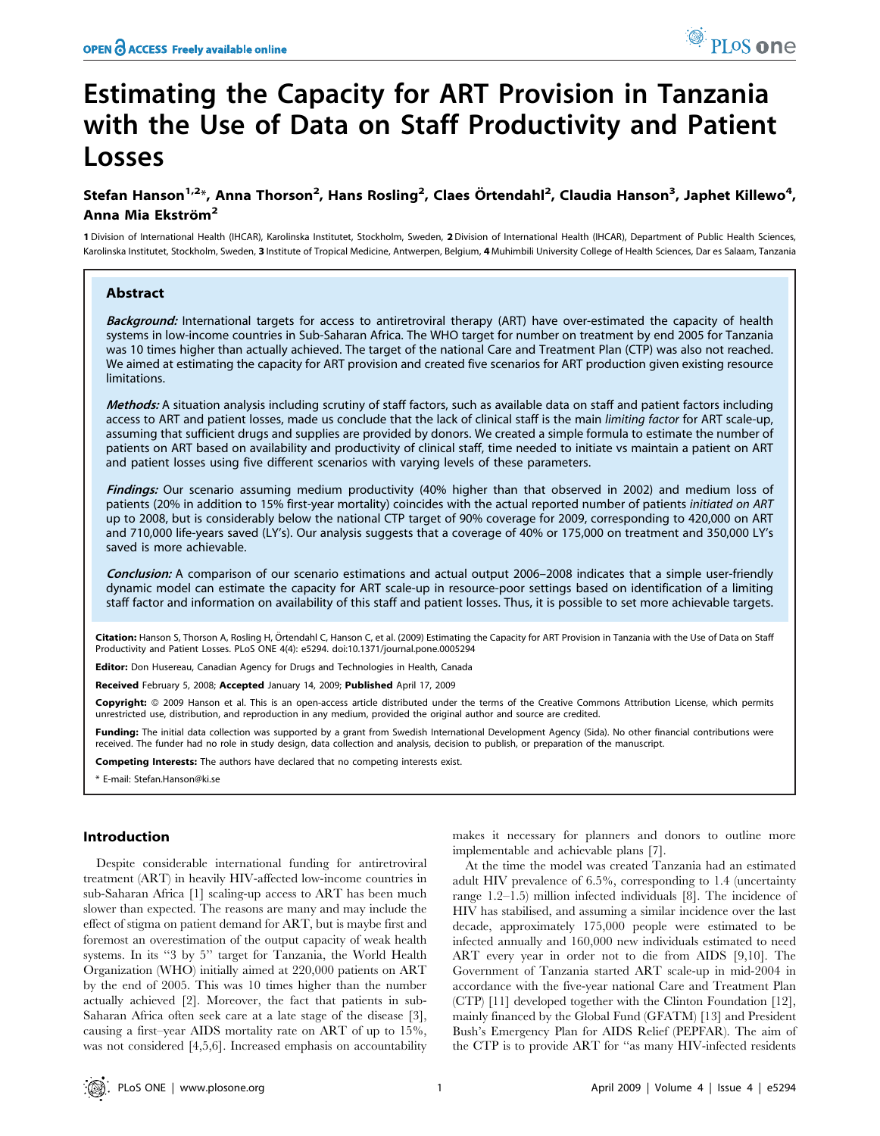# Estimating the Capacity for ART Provision in Tanzania with the Use of Data on Staff Productivity and Patient Losses

# Stefan Hanson<sup>1,2</sup>\*, Anna Thorson<sup>2</sup>, Hans Rosling<sup>2</sup>, Claes Örtendahl<sup>2</sup>, Claudia Hanson<sup>3</sup>, Japhet Killewo<sup>4</sup>, Anna Mia Ekström<sup>2</sup>

1 Division of International Health (IHCAR), Karolinska Institutet, Stockholm, Sweden, 2Division of International Health (IHCAR), Department of Public Health Sciences, Karolinska Institutet, Stockholm, Sweden, 3 Institute of Tropical Medicine, Antwerpen, Belgium, 4 Muhimbili University College of Health Sciences, Dar es Salaam, Tanzania

# Abstract

Background: International targets for access to antiretroviral therapy (ART) have over-estimated the capacity of health systems in low-income countries in Sub-Saharan Africa. The WHO target for number on treatment by end 2005 for Tanzania was 10 times higher than actually achieved. The target of the national Care and Treatment Plan (CTP) was also not reached. We aimed at estimating the capacity for ART provision and created five scenarios for ART production given existing resource limitations.

Methods: A situation analysis including scrutiny of staff factors, such as available data on staff and patient factors including access to ART and patient losses, made us conclude that the lack of clinical staff is the main limiting factor for ART scale-up, assuming that sufficient drugs and supplies are provided by donors. We created a simple formula to estimate the number of patients on ART based on availability and productivity of clinical staff, time needed to initiate vs maintain a patient on ART and patient losses using five different scenarios with varying levels of these parameters.

Findings: Our scenario assuming medium productivity (40% higher than that observed in 2002) and medium loss of patients (20% in addition to 15% first-year mortality) coincides with the actual reported number of patients initiated on ART up to 2008, but is considerably below the national CTP target of 90% coverage for 2009, corresponding to 420,000 on ART and 710,000 life-years saved (LY's). Our analysis suggests that a coverage of 40% or 175,000 on treatment and 350,000 LY's saved is more achievable.

Conclusion: A comparison of our scenario estimations and actual output 2006–2008 indicates that a simple user-friendly dynamic model can estimate the capacity for ART scale-up in resource-poor settings based on identification of a limiting staff factor and information on availability of this staff and patient losses. Thus, it is possible to set more achievable targets.

Citation: Hanson S, Thorson A, Rosling H, Örtendahl C, Hanson C, et al. (2009) Estimating the Capacity for ART Provision in Tanzania with the Use of Data on Staff Productivity and Patient Losses. PLoS ONE 4(4): e5294. doi:10.1371/journal.pone.0005294

Editor: Don Husereau, Canadian Agency for Drugs and Technologies in Health, Canada

Received February 5, 2008; Accepted January 14, 2009; Published April 17, 2009

Copyright: @ 2009 Hanson et al. This is an open-access article distributed under the terms of the Creative Commons Attribution License, which permits unrestricted use, distribution, and reproduction in any medium, provided the original author and source are credited.

Funding: The initial data collection was supported by a grant from Swedish International Development Agency (Sida). No other financial contributions were received. The funder had no role in study design, data collection and analysis, decision to publish, or preparation of the manuscript.

Competing Interests: The authors have declared that no competing interests exist.

\* E-mail: Stefan.Hanson@ki.se

# Introduction

Despite considerable international funding for antiretroviral treatment (ART) in heavily HIV-affected low-income countries in sub-Saharan Africa [1] scaling-up access to ART has been much slower than expected. The reasons are many and may include the effect of stigma on patient demand for ART, but is maybe first and foremost an overestimation of the output capacity of weak health systems. In its ''3 by 5'' target for Tanzania, the World Health Organization (WHO) initially aimed at 220,000 patients on ART by the end of 2005. This was 10 times higher than the number actually achieved [2]. Moreover, the fact that patients in sub-Saharan Africa often seek care at a late stage of the disease [3], causing a first–year AIDS mortality rate on ART of up to 15%, was not considered [4,5,6]. Increased emphasis on accountability makes it necessary for planners and donors to outline more implementable and achievable plans [7].

At the time the model was created Tanzania had an estimated adult HIV prevalence of 6.5%, corresponding to 1.4 (uncertainty range 1.2–1.5) million infected individuals [8]. The incidence of HIV has stabilised, and assuming a similar incidence over the last decade, approximately 175,000 people were estimated to be infected annually and 160,000 new individuals estimated to need ART every year in order not to die from AIDS [9,10]. The Government of Tanzania started ART scale-up in mid-2004 in accordance with the five-year national Care and Treatment Plan (CTP) [11] developed together with the Clinton Foundation [12], mainly financed by the Global Fund (GFATM) [13] and President Bush's Emergency Plan for AIDS Relief (PEPFAR). The aim of the CTP is to provide ART for ''as many HIV-infected residents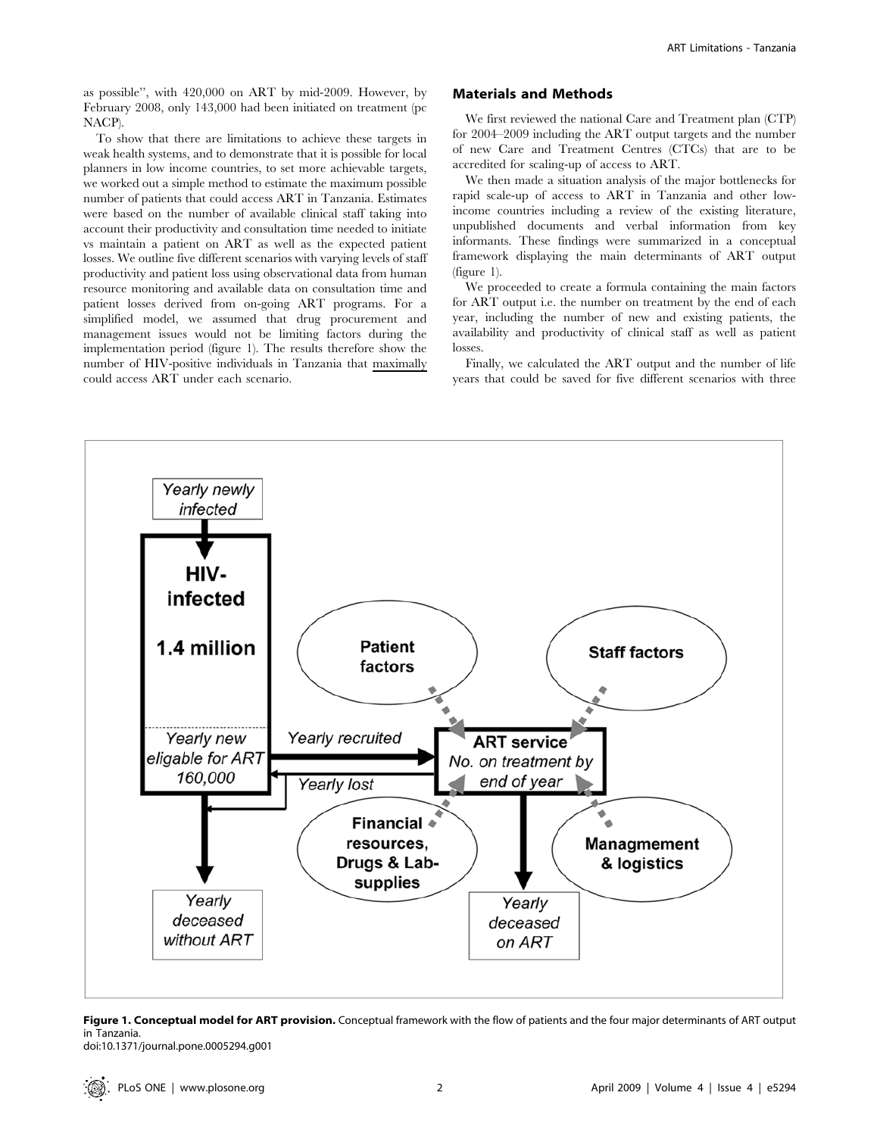as possible'', with 420,000 on ART by mid-2009. However, by February 2008, only 143,000 had been initiated on treatment (pc NACP).

To show that there are limitations to achieve these targets in weak health systems, and to demonstrate that it is possible for local planners in low income countries, to set more achievable targets, we worked out a simple method to estimate the maximum possible number of patients that could access ART in Tanzania. Estimates were based on the number of available clinical staff taking into account their productivity and consultation time needed to initiate vs maintain a patient on ART as well as the expected patient losses. We outline five different scenarios with varying levels of staff productivity and patient loss using observational data from human resource monitoring and available data on consultation time and patient losses derived from on-going ART programs. For a simplified model, we assumed that drug procurement and management issues would not be limiting factors during the implementation period (figure 1). The results therefore show the number of HIV-positive individuals in Tanzania that maximally could access ART under each scenario.

#### Materials and Methods

We first reviewed the national Care and Treatment plan (CTP) for 2004–2009 including the ART output targets and the number of new Care and Treatment Centres (CTCs) that are to be accredited for scaling-up of access to ART.

We then made a situation analysis of the major bottlenecks for rapid scale-up of access to ART in Tanzania and other lowincome countries including a review of the existing literature, unpublished documents and verbal information from key informants. These findings were summarized in a conceptual framework displaying the main determinants of ART output (figure 1).

We proceeded to create a formula containing the main factors for ART output i.e. the number on treatment by the end of each year, including the number of new and existing patients, the availability and productivity of clinical staff as well as patient losses.

Finally, we calculated the ART output and the number of life years that could be saved for five different scenarios with three



Figure 1. Conceptual model for ART provision. Conceptual framework with the flow of patients and the four major determinants of ART output in Tanzania.

doi:10.1371/journal.pone.0005294.g001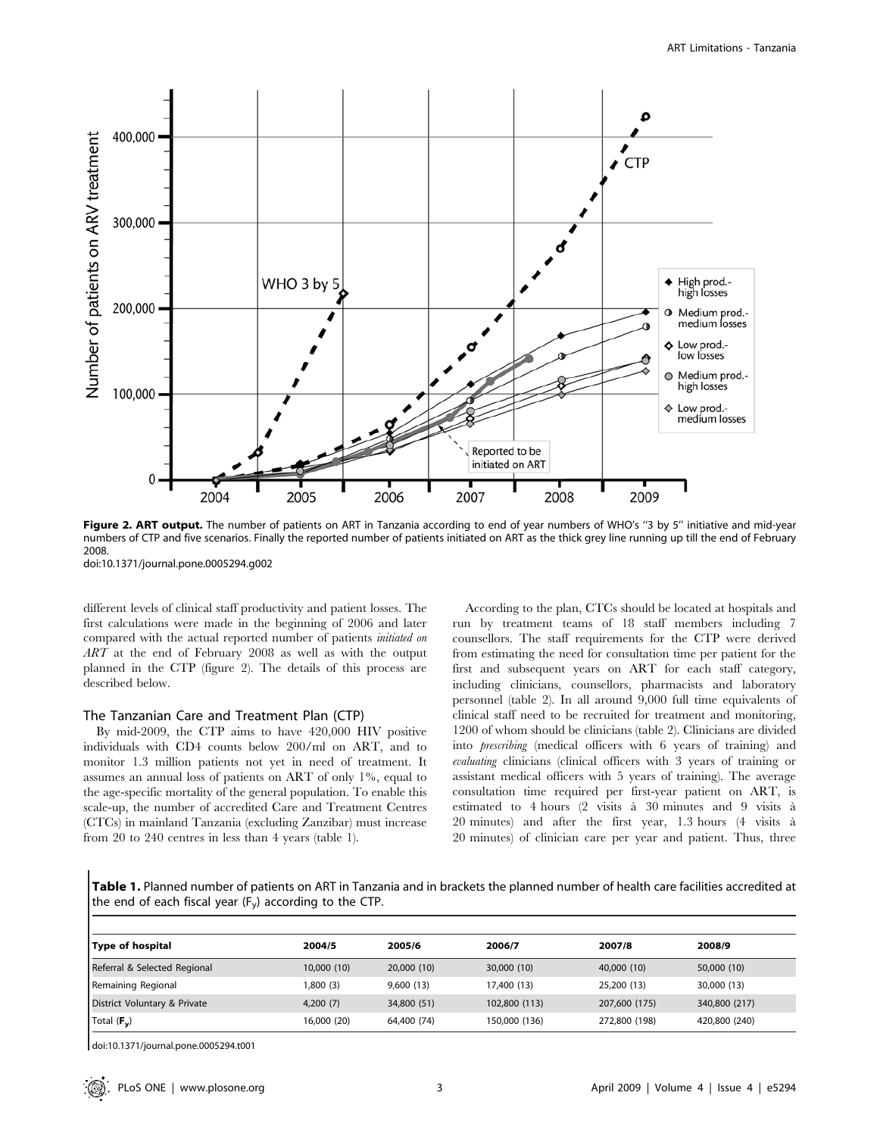

Figure 2. ART output. The number of patients on ART in Tanzania according to end of year numbers of WHO's "3 by 5" initiative and mid-year numbers of CTP and five scenarios. Finally the reported number of patients initiated on ART as the thick grey line running up till the end of February 2008.

doi:10.1371/journal.pone.0005294.g002

different levels of clinical staff productivity and patient losses. The first calculations were made in the beginning of 2006 and later compared with the actual reported number of patients initiated on ART at the end of February 2008 as well as with the output planned in the CTP (figure 2). The details of this process are described below.

#### The Tanzanian Care and Treatment Plan (CTP)

By mid-2009, the CTP aims to have 420,000 HIV positive individuals with CD4 counts below 200/ml on ART, and to monitor 1.3 million patients not yet in need of treatment. It assumes an annual loss of patients on ART of only 1%, equal to the age-specific mortality of the general population. To enable this scale-up, the number of accredited Care and Treatment Centres (CTCs) in mainland Tanzania (excluding Zanzibar) must increase from 20 to 240 centres in less than 4 years (table 1).

According to the plan, CTCs should be located at hospitals and run by treatment teams of 18 staff members including 7 counsellors. The staff requirements for the CTP were derived from estimating the need for consultation time per patient for the first and subsequent years on ART for each staff category, including clinicians, counsellors, pharmacists and laboratory personnel (table 2). In all around 9,000 full time equivalents of clinical staff need to be recruited for treatment and monitoring, 1200 of whom should be clinicians (table 2). Clinicians are divided into prescribing (medical officers with 6 years of training) and evaluating clinicians (clinical officers with 3 years of training or assistant medical officers with 5 years of training). The average consultation time required per first-year patient on ART, is estimated to 4 hours (2 visits a` 30 minutes and 9 visits a` 20 minutes) and after the first year, 1.3 hours (4 visits a` 20 minutes) of clinician care per year and patient. Thus, three

Table 1. Planned number of patients on ART in Tanzania and in brackets the planned number of health care facilities accredited at the end of each fiscal year  $(F_v)$  according to the CTP.

| Type of hospital             | 2004/5      | 2005/6      | 2006/7        | 2007/8        | 2008/9        |
|------------------------------|-------------|-------------|---------------|---------------|---------------|
| Referral & Selected Regional | 10,000 (10) | 20,000 (10) | 30,000 (10)   | 40,000 (10)   | 50,000 (10)   |
| Remaining Regional           | (3) 800.1   | 9,600(13)   | 17,400 (13)   | 25,200 (13)   | 30,000 (13)   |
| District Voluntary & Private | 4,200(7)    | 34,800 (51) | 102,800 (113) | 207,600 (175) | 340,800 (217) |
| Total $(F_v)$                | 16,000 (20) | 64,400 (74) | 150,000 (136) | 272,800 (198) | 420,800 (240) |

doi:10.1371/journal.pone.0005294.t001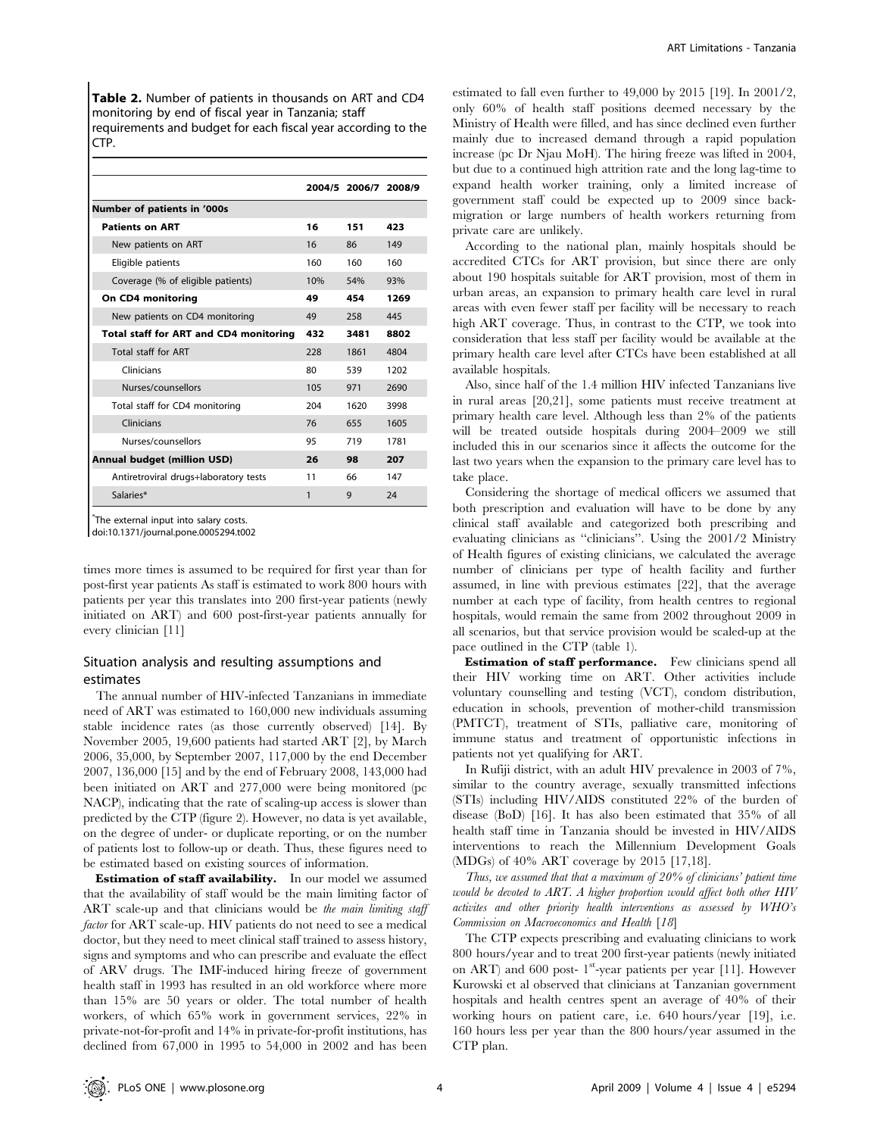Table 2. Number of patients in thousands on ART and CD4 monitoring by end of fiscal year in Tanzania; staff requirements and budget for each fiscal year according to the CTP.

|                                        |     | 2004/5 2006/7 2008/9 |      |
|----------------------------------------|-----|----------------------|------|
| Number of patients in '000s            |     |                      |      |
| <b>Patients on ART</b>                 | 16  | 151                  | 423  |
| New patients on ART                    | 16  | 86                   | 149  |
| Eligible patients                      | 160 | 160                  | 160  |
| Coverage (% of eligible patients)      | 10% | 54%                  | 93%  |
| On CD4 monitoring                      | 49  | 454                  | 1269 |
| New patients on CD4 monitoring         | 49  | 258                  | 445  |
| Total staff for ART and CD4 monitoring | 432 | 3481                 | 8802 |
| <b>Total staff for ART</b>             | 228 | 1861                 | 4804 |
| Clinicians                             | 80  | 539                  | 1202 |
| Nurses/counsellors                     | 105 | 971                  | 2690 |
| Total staff for CD4 monitoring         | 204 | 1620                 | 3998 |
| Clinicians                             | 76  | 655                  | 1605 |
| Nurses/counsellors                     | 95  | 719                  | 1781 |
| <b>Annual budget (million USD)</b>     | 26  | 98                   | 207  |
| Antiretroviral drugs+laboratory tests  | 11  | 66                   | 147  |
| Salaries*                              | 1   | 9                    | 24   |

\* The external input into salary costs.

doi:10.1371/journal.pone.0005294.t002

times more times is assumed to be required for first year than for post-first year patients As staff is estimated to work 800 hours with patients per year this translates into 200 first-year patients (newly initiated on ART) and 600 post-first-year patients annually for every clinician [11]

# Situation analysis and resulting assumptions and estimates

The annual number of HIV-infected Tanzanians in immediate need of ART was estimated to 160,000 new individuals assuming stable incidence rates (as those currently observed) [14]. By November 2005, 19,600 patients had started ART [2], by March 2006, 35,000, by September 2007, 117,000 by the end December 2007, 136,000 [15] and by the end of February 2008, 143,000 had been initiated on ART and 277,000 were being monitored (pc NACP), indicating that the rate of scaling-up access is slower than predicted by the CTP (figure 2). However, no data is yet available, on the degree of under- or duplicate reporting, or on the number of patients lost to follow-up or death. Thus, these figures need to be estimated based on existing sources of information.

Estimation of staff availability. In our model we assumed that the availability of staff would be the main limiting factor of ART scale-up and that clinicians would be the main limiting staff factor for ART scale-up. HIV patients do not need to see a medical doctor, but they need to meet clinical staff trained to assess history, signs and symptoms and who can prescribe and evaluate the effect of ARV drugs. The IMF-induced hiring freeze of government health staff in 1993 has resulted in an old workforce where more than 15% are 50 years or older. The total number of health workers, of which 65% work in government services, 22% in private-not-for-profit and 14% in private-for-profit institutions, has declined from 67,000 in 1995 to 54,000 in 2002 and has been estimated to fall even further to 49,000 by 2015 [19]. In 2001/2, only 60% of health staff positions deemed necessary by the Ministry of Health were filled, and has since declined even further mainly due to increased demand through a rapid population increase (pc Dr Njau MoH). The hiring freeze was lifted in 2004, but due to a continued high attrition rate and the long lag-time to expand health worker training, only a limited increase of government staff could be expected up to 2009 since backmigration or large numbers of health workers returning from private care are unlikely.

According to the national plan, mainly hospitals should be accredited CTCs for ART provision, but since there are only about 190 hospitals suitable for ART provision, most of them in urban areas, an expansion to primary health care level in rural areas with even fewer staff per facility will be necessary to reach high ART coverage. Thus, in contrast to the CTP, we took into consideration that less staff per facility would be available at the primary health care level after CTCs have been established at all available hospitals.

Also, since half of the 1.4 million HIV infected Tanzanians live in rural areas [20,21], some patients must receive treatment at primary health care level. Although less than 2% of the patients will be treated outside hospitals during 2004–2009 we still included this in our scenarios since it affects the outcome for the last two years when the expansion to the primary care level has to take place.

Considering the shortage of medical officers we assumed that both prescription and evaluation will have to be done by any clinical staff available and categorized both prescribing and evaluating clinicians as ''clinicians''. Using the 2001/2 Ministry of Health figures of existing clinicians, we calculated the average number of clinicians per type of health facility and further assumed, in line with previous estimates [22], that the average number at each type of facility, from health centres to regional hospitals, would remain the same from 2002 throughout 2009 in all scenarios, but that service provision would be scaled-up at the pace outlined in the CTP (table 1).

Estimation of staff performance. Few clinicians spend all their HIV working time on ART. Other activities include voluntary counselling and testing (VCT), condom distribution, education in schools, prevention of mother-child transmission (PMTCT), treatment of STIs, palliative care, monitoring of immune status and treatment of opportunistic infections in patients not yet qualifying for ART.

In Rufiji district, with an adult HIV prevalence in 2003 of 7%, similar to the country average, sexually transmitted infections (STIs) including HIV/AIDS constituted 22% of the burden of disease (BoD) [16]. It has also been estimated that 35% of all health staff time in Tanzania should be invested in HIV/AIDS interventions to reach the Millennium Development Goals (MDGs) of 40% ART coverage by 2015 [17,18].

Thus, we assumed that that a maximum of 20% of clinicians' patient time would be devoted to ART. A higher proportion would affect both other HIV activites and other priority health interventions as assessed by WHO's Commission on Macroeconomics and Health [18]

The CTP expects prescribing and evaluating clinicians to work 800 hours/year and to treat 200 first-year patients (newly initiated on ART) and 600 post- $1<sup>st</sup>$ -year patients per year [11]. However Kurowski et al observed that clinicians at Tanzanian government hospitals and health centres spent an average of 40% of their working hours on patient care, i.e. 640 hours/year [19], i.e. 160 hours less per year than the 800 hours/year assumed in the CTP plan.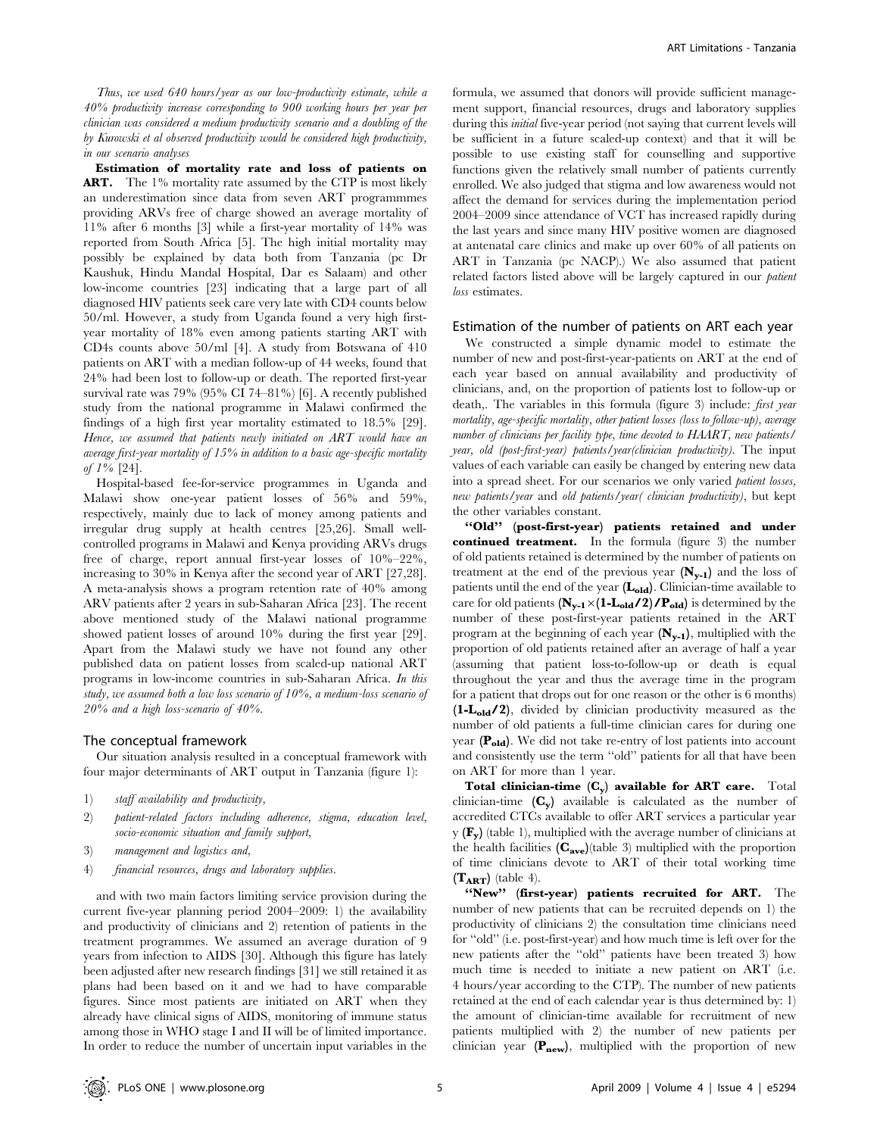Thus, we used 640 hours/year as our low-productivity estimate, while a 40% productivity increase corresponding to 900 working hours per year per clinician was considered a medium productivity scenario and a doubling of the by Kurowski et al observed productivity would be considered high productivity, in our scenario analyses

Estimation of mortality rate and loss of patients on ART. The 1% mortality rate assumed by the CTP is most likely an underestimation since data from seven ART programmmes providing ARVs free of charge showed an average mortality of 11% after 6 months [3] while a first-year mortality of 14% was reported from South Africa [5]. The high initial mortality may possibly be explained by data both from Tanzania (pc Dr Kaushuk, Hindu Mandal Hospital, Dar es Salaam) and other low-income countries [23] indicating that a large part of all diagnosed HIV patients seek care very late with CD4 counts below 50/ml. However, a study from Uganda found a very high firstyear mortality of 18% even among patients starting ART with CD4s counts above 50/ml [4]. A study from Botswana of 410 patients on ART with a median follow-up of 44 weeks, found that 24% had been lost to follow-up or death. The reported first-year survival rate was 79% (95% CI 74–81%) [6]. A recently published study from the national programme in Malawi confirmed the findings of a high first year mortality estimated to 18.5% [29]. Hence, we assumed that patients newly initiated on ART would have an average first-year mortality of 15% in addition to a basic age-specific mortality of  $1\%$  [24].

Hospital-based fee-for-service programmes in Uganda and Malawi show one-year patient losses of 56% and 59%, respectively, mainly due to lack of money among patients and irregular drug supply at health centres [25,26]. Small wellcontrolled programs in Malawi and Kenya providing ARVs drugs free of charge, report annual first-year losses of 10%–22%, increasing to 30% in Kenya after the second year of ART [27,28]. A meta-analysis shows a program retention rate of 40% among ARV patients after 2 years in sub-Saharan Africa [23]. The recent above mentioned study of the Malawi national programme showed patient losses of around 10% during the first year [29]. Apart from the Malawi study we have not found any other published data on patient losses from scaled-up national ART programs in low-income countries in sub-Saharan Africa. In this study, we assumed both a low loss scenario of 10%, a medium-loss scenario of 20% and a high loss-scenario of 40%.

#### The conceptual framework

Our situation analysis resulted in a conceptual framework with four major determinants of ART output in Tanzania (figure 1):

- 1) staff availability and productivity,
- 2) patient-related factors including adherence, stigma, education level, socio-economic situation and family support,
- 3) management and logistics and,
- 4) financial resources, drugs and laboratory supplies.

and with two main factors limiting service provision during the current five-year planning period 2004–2009: 1) the availability and productivity of clinicians and 2) retention of patients in the treatment programmes. We assumed an average duration of 9 years from infection to AIDS [30]. Although this figure has lately been adjusted after new research findings [31] we still retained it as plans had been based on it and we had to have comparable figures. Since most patients are initiated on ART when they already have clinical signs of AIDS, monitoring of immune status among those in WHO stage I and II will be of limited importance. In order to reduce the number of uncertain input variables in the

formula, we assumed that donors will provide sufficient management support, financial resources, drugs and laboratory supplies during this initial five-year period (not saying that current levels will be sufficient in a future scaled-up context) and that it will be possible to use existing staff for counselling and supportive functions given the relatively small number of patients currently enrolled. We also judged that stigma and low awareness would not affect the demand for services during the implementation period 2004–2009 since attendance of VCT has increased rapidly during the last years and since many HIV positive women are diagnosed at antenatal care clinics and make up over 60% of all patients on ART in Tanzania (pc NACP).) We also assumed that patient related factors listed above will be largely captured in our patient loss estimates.

#### Estimation of the number of patients on ART each year

We constructed a simple dynamic model to estimate the number of new and post-first-year-patients on ART at the end of each year based on annual availability and productivity of clinicians, and, on the proportion of patients lost to follow-up or death,. The variables in this formula (figure 3) include: first year mortality, age-specific mortality, other patient losses (loss to follow-up), average number of clinicians per facility type, time devoted to HAART, new patients/ year, old (post-first-year) patients/year(clinician productivity). The input values of each variable can easily be changed by entering new data into a spread sheet. For our scenarios we only varied patient losses, new patients/year and old patients/year( clinician productivity), but kept the other variables constant.

''Old'' (post-first-year) patients retained and under continued treatment. In the formula (figure 3) the number of old patients retained is determined by the number of patients on treatment at the end of the previous year  $(N_{v-1})$  and the loss of patients until the end of the year  $(L_{old})$ . Clinician-time available to care for old patients  $(N_{y-1} \times (1-L_{old}/2)/P_{old})$  is determined by the number of these post-first-year patients retained in the ART program at the beginning of each year  $(N_{y-1})$ , multiplied with the proportion of old patients retained after an average of half a year (assuming that patient loss-to-follow-up or death is equal throughout the year and thus the average time in the program for a patient that drops out for one reason or the other is 6 months) (1-L<sub>old</sub>/2), divided by clinician productivity measured as the number of old patients a full-time clinician cares for during one year  $(P_{old})$ . We did not take re-entry of lost patients into account and consistently use the term ''old'' patients for all that have been on ART for more than 1 year.

Total clinician-time  $(C_v)$  available for ART care. Total clinician-time  $(C_v)$  available is calculated as the number of accredited CTCs available to offer ART services a particular year y  $(\mathbf{F}_v)$  (table 1), multiplied with the average number of clinicians at the health facilities  $(C_{ave})$ (table 3) multiplied with the proportion of time clinicians devote to ART of their total working time  $(T_{\text{ART}})$  (table 4).

"New" (first-year) patients recruited for ART. The number of new patients that can be recruited depends on 1) the productivity of clinicians 2) the consultation time clinicians need for ''old'' (i.e. post-first-year) and how much time is left over for the new patients after the ''old'' patients have been treated 3) how much time is needed to initiate a new patient on ART (i.e. 4 hours/year according to the CTP). The number of new patients retained at the end of each calendar year is thus determined by: 1) the amount of clinician-time available for recruitment of new patients multiplied with 2) the number of new patients per clinician year  $(P_{new})$ , multiplied with the proportion of new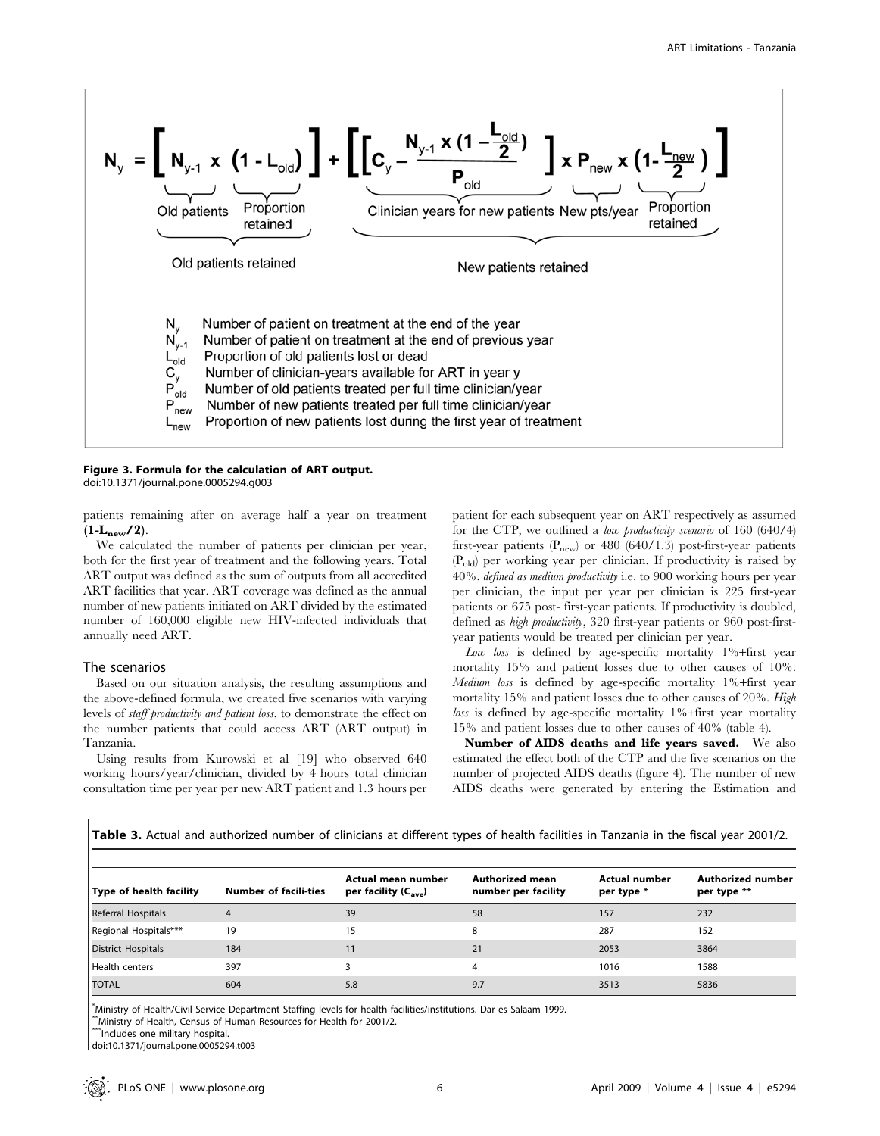

# Figure 3. Formula for the calculation of ART output.

doi:10.1371/journal.pone.0005294.g003

patients remaining after on average half a year on treatment  $(1-L_{new}/2)$ 

We calculated the number of patients per clinician per year, both for the first year of treatment and the following years. Total ART output was defined as the sum of outputs from all accredited ART facilities that year. ART coverage was defined as the annual number of new patients initiated on ART divided by the estimated number of 160,000 eligible new HIV-infected individuals that annually need ART.

## The scenarios

Based on our situation analysis, the resulting assumptions and the above-defined formula, we created five scenarios with varying levels of staff productivity and patient loss, to demonstrate the effect on the number patients that could access ART (ART output) in Tanzania.

Using results from Kurowski et al [19] who observed 640 working hours/year/clinician, divided by 4 hours total clinician consultation time per year per new ART patient and 1.3 hours per

patient for each subsequent year on ART respectively as assumed for the CTP, we outlined a low productivity scenario of 160 (640/4) first-year patients ( $P_{\text{new}}$ ) or 480 (640/1.3) post-first-year patients (Pold) per working year per clinician. If productivity is raised by 40%, defined as medium productivity i.e. to 900 working hours per year per clinician, the input per year per clinician is 225 first-year patients or 675 post- first-year patients. If productivity is doubled, defined as high productivity, 320 first-year patients or 960 post-firstyear patients would be treated per clinician per year.

Low loss is defined by age-specific mortality 1%+first year mortality 15% and patient losses due to other causes of 10%. Medium loss is defined by age-specific mortality 1%+first year mortality 15% and patient losses due to other causes of 20%. High loss is defined by age-specific mortality 1%+first year mortality 15% and patient losses due to other causes of 40% (table 4).

Number of AIDS deaths and life years saved. We also estimated the effect both of the CTP and the five scenarios on the number of projected AIDS deaths (figure 4). The number of new AIDS deaths were generated by entering the Estimation and

| Table 3. Actual and authorized number of clinicians at different types of health facilities in Tanzania in the fiscal year 2001/2. |  |
|------------------------------------------------------------------------------------------------------------------------------------|--|
|------------------------------------------------------------------------------------------------------------------------------------|--|

| Type of health facility   | <b>Number of facili-ties</b> | Actual mean number<br>per facility $(C_{\text{ave}})$ | <b>Authorized mean</b><br>number per facility | <b>Actual number</b><br>per type * | <b>Authorized number</b><br>per type ** |
|---------------------------|------------------------------|-------------------------------------------------------|-----------------------------------------------|------------------------------------|-----------------------------------------|
| Referral Hospitals        | 4                            | 39                                                    | 58                                            | 157                                | 232                                     |
| Regional Hospitals***     | 19                           | 15                                                    | 8                                             | 287                                | 152                                     |
| <b>District Hospitals</b> | 184                          | 11                                                    | 21                                            | 2053                               | 3864                                    |
| Health centers            | 397                          |                                                       | 4                                             | 1016                               | 1588                                    |
| <b>TOTAL</b>              | 604                          | 5.8                                                   | 9.7                                           | 3513                               | 5836                                    |

\* Ministry of Health/Civil Service Department Staffing levels for health facilities/institutions. Dar es Salaam 1999.

\*\*Ministry of Health, Census of Human Resources for Health for 2001/2.

\*Includes one military hospital.

doi:10.1371/journal.pone.0005294.t003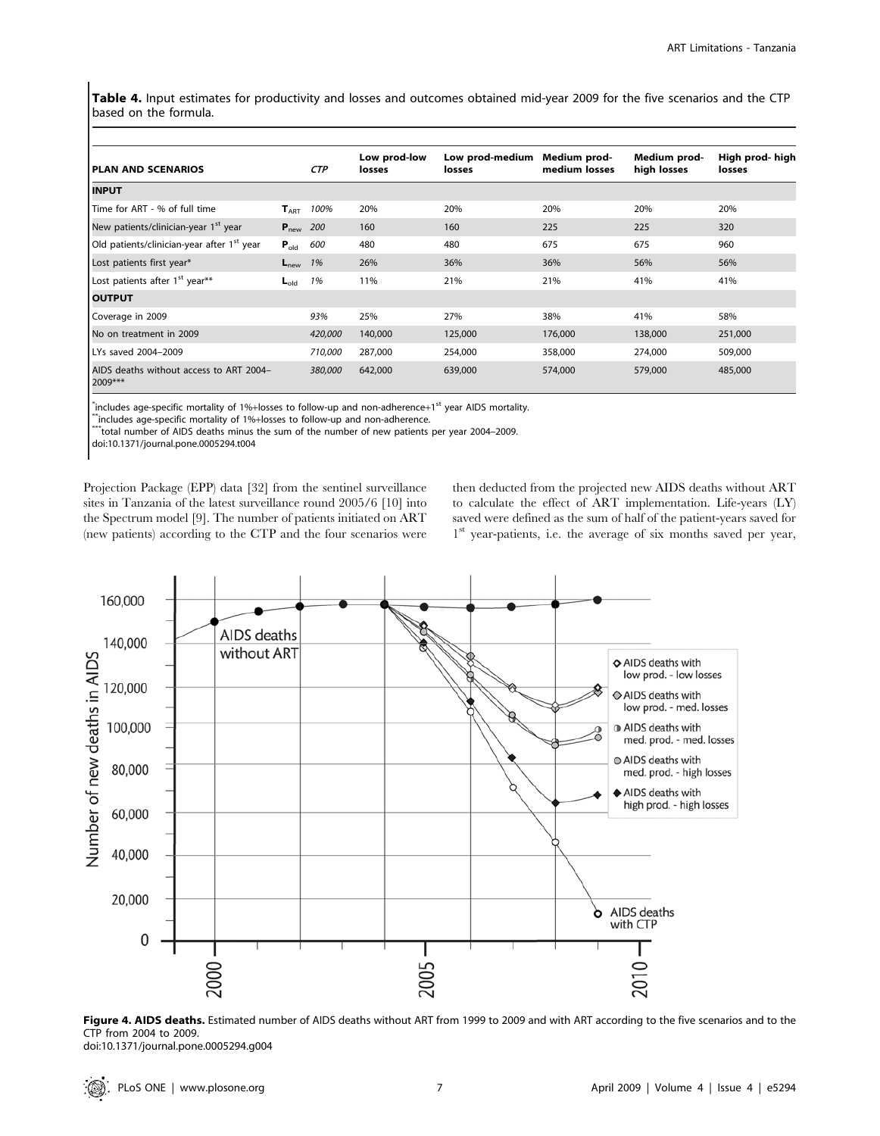Table 4. Input estimates for productivity and losses and outcomes obtained mid-year 2009 for the five scenarios and the CTP based on the formula.

| <b>PLAN AND SCENARIOS</b>                              |                           | <b>CTP</b> | Low prod-low<br>losses | Low prod-medium<br>losses | Medium prod-<br>medium losses | Medium prod-<br>high losses | High prod- high<br>losses |
|--------------------------------------------------------|---------------------------|------------|------------------------|---------------------------|-------------------------------|-----------------------------|---------------------------|
| <b>INPUT</b>                                           |                           |            |                        |                           |                               |                             |                           |
| Time for ART - % of full time                          | $\mathbf{T}_{\text{ART}}$ | 100%       | 20%                    | 20%                       | 20%                           | 20%                         | 20%                       |
| New patients/clinician-year 1 <sup>st</sup> year       | $P_{\text{new}}$ 200      |            | 160                    | 160                       | 225                           | 225                         | 320                       |
| Old patients/clinician-year after 1 <sup>st</sup> year | $P_{old}$                 | 600        | 480                    | 480                       | 675                           | 675                         | 960                       |
| Lost patients first year*                              | $L_{new}$                 | 1%         | 26%                    | 36%                       | 36%                           | 56%                         | 56%                       |
| Lost patients after 1 <sup>st</sup> year**             | $L_{old}$                 | 1%         | 11%                    | 21%                       | 21%                           | 41%                         | 41%                       |
| <b>OUTPUT</b>                                          |                           |            |                        |                           |                               |                             |                           |
| Coverage in 2009                                       |                           | 93%        | 25%                    | 27%                       | 38%                           | 41%                         | 58%                       |
| No on treatment in 2009                                |                           | 420,000    | 140,000                | 125,000                   | 176,000                       | 138,000                     | 251,000                   |
| LYs saved 2004-2009                                    |                           | 710,000    | 287,000                | 254,000                   | 358,000                       | 274,000                     | 509,000                   |
| AIDS deaths without access to ART 2004-<br>2009***     |                           | 380,000    | 642,000                | 639,000                   | 574,000                       | 579,000                     | 485,000                   |

\*includes age-specific mortality of 1%+losses to follow-up and non-adherence+1<sup>st</sup> year AIDS mortality.

\*includes age-specific mortality of 1%+losses to follow-up and non-adherence.<br>\*\*\*total number of AIDS deaths minus the sum of the number of new patients per year 2004–2009.

doi:10.1371/journal.pone.0005294.t004

Projection Package (EPP) data [32] from the sentinel surveillance sites in Tanzania of the latest surveillance round 2005/6 [10] into the Spectrum model [9]. The number of patients initiated on ART (new patients) according to the CTP and the four scenarios were

then deducted from the projected new AIDS deaths without ART to calculate the effect of ART implementation. Life-years (LY) saved were defined as the sum of half of the patient-years saved for 1<sup>st</sup> year-patients, i.e. the average of six months saved per year,



Figure 4. AIDS deaths. Estimated number of AIDS deaths without ART from 1999 to 2009 and with ART according to the five scenarios and to the CTP from 2004 to 2009. doi:10.1371/journal.pone.0005294.g004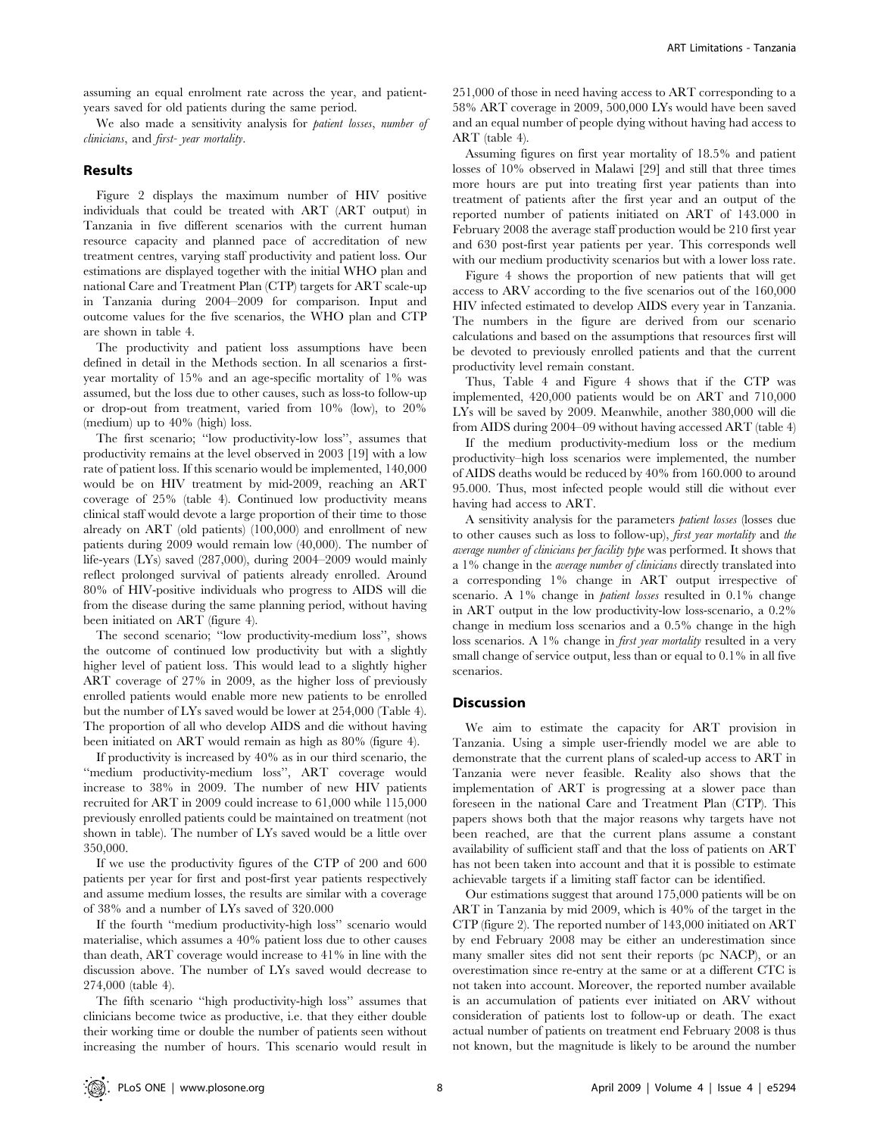assuming an equal enrolment rate across the year, and patientyears saved for old patients during the same period.

We also made a sensitivity analysis for patient losses, number of clinicians, and first- year mortality.

# Results

Figure 2 displays the maximum number of HIV positive individuals that could be treated with ART (ART output) in Tanzania in five different scenarios with the current human resource capacity and planned pace of accreditation of new treatment centres, varying staff productivity and patient loss. Our estimations are displayed together with the initial WHO plan and national Care and Treatment Plan (CTP) targets for ART scale-up in Tanzania during 2004–2009 for comparison. Input and outcome values for the five scenarios, the WHO plan and CTP are shown in table 4.

The productivity and patient loss assumptions have been defined in detail in the Methods section. In all scenarios a firstyear mortality of 15% and an age-specific mortality of 1% was assumed, but the loss due to other causes, such as loss-to follow-up or drop-out from treatment, varied from 10% (low), to 20% (medium) up to 40% (high) loss.

The first scenario; ''low productivity-low loss'', assumes that productivity remains at the level observed in 2003 [19] with a low rate of patient loss. If this scenario would be implemented, 140,000 would be on HIV treatment by mid-2009, reaching an ART coverage of 25% (table 4). Continued low productivity means clinical staff would devote a large proportion of their time to those already on ART (old patients) (100,000) and enrollment of new patients during 2009 would remain low (40,000). The number of life-years (LYs) saved (287,000), during 2004–2009 would mainly reflect prolonged survival of patients already enrolled. Around 80% of HIV-positive individuals who progress to AIDS will die from the disease during the same planning period, without having been initiated on ART (figure 4).

The second scenario; ''low productivity-medium loss'', shows the outcome of continued low productivity but with a slightly higher level of patient loss. This would lead to a slightly higher ART coverage of 27% in 2009, as the higher loss of previously enrolled patients would enable more new patients to be enrolled but the number of LYs saved would be lower at 254,000 (Table 4). The proportion of all who develop AIDS and die without having been initiated on ART would remain as high as 80% (figure 4).

If productivity is increased by 40% as in our third scenario, the ''medium productivity-medium loss'', ART coverage would increase to 38% in 2009. The number of new HIV patients recruited for ART in 2009 could increase to 61,000 while 115,000 previously enrolled patients could be maintained on treatment (not shown in table). The number of LYs saved would be a little over 350,000.

If we use the productivity figures of the CTP of 200 and 600 patients per year for first and post-first year patients respectively and assume medium losses, the results are similar with a coverage of 38% and a number of LYs saved of 320.000

If the fourth ''medium productivity-high loss'' scenario would materialise, which assumes a 40% patient loss due to other causes than death, ART coverage would increase to 41% in line with the discussion above. The number of LYs saved would decrease to 274,000 (table 4).

The fifth scenario ''high productivity-high loss'' assumes that clinicians become twice as productive, i.e. that they either double their working time or double the number of patients seen without increasing the number of hours. This scenario would result in 251,000 of those in need having access to ART corresponding to a 58% ART coverage in 2009, 500,000 LYs would have been saved and an equal number of people dying without having had access to ART (table 4).

Assuming figures on first year mortality of 18.5% and patient losses of 10% observed in Malawi [29] and still that three times more hours are put into treating first year patients than into treatment of patients after the first year and an output of the reported number of patients initiated on ART of 143.000 in February 2008 the average staff production would be 210 first year and 630 post-first year patients per year. This corresponds well with our medium productivity scenarios but with a lower loss rate.

Figure 4 shows the proportion of new patients that will get access to ARV according to the five scenarios out of the 160,000 HIV infected estimated to develop AIDS every year in Tanzania. The numbers in the figure are derived from our scenario calculations and based on the assumptions that resources first will be devoted to previously enrolled patients and that the current productivity level remain constant.

Thus, Table 4 and Figure 4 shows that if the CTP was implemented, 420,000 patients would be on ART and 710,000 LYs will be saved by 2009. Meanwhile, another 380,000 will die from AIDS during 2004–09 without having accessed ART (table 4)

If the medium productivity-medium loss or the medium productivity–high loss scenarios were implemented, the number of AIDS deaths would be reduced by 40% from 160.000 to around 95.000. Thus, most infected people would still die without ever having had access to ART.

A sensitivity analysis for the parameters patient losses (losses due to other causes such as loss to follow-up), first year mortality and the average number of clinicians per facility type was performed. It shows that a 1% change in the average number of clinicians directly translated into a corresponding 1% change in ART output irrespective of scenario. A 1% change in patient losses resulted in 0.1% change in ART output in the low productivity-low loss-scenario, a 0.2% change in medium loss scenarios and a 0.5% change in the high loss scenarios. A 1% change in first year mortality resulted in a very small change of service output, less than or equal to 0.1% in all five scenarios.

#### **Discussion**

We aim to estimate the capacity for ART provision in Tanzania. Using a simple user-friendly model we are able to demonstrate that the current plans of scaled-up access to ART in Tanzania were never feasible. Reality also shows that the implementation of ART is progressing at a slower pace than foreseen in the national Care and Treatment Plan (CTP). This papers shows both that the major reasons why targets have not been reached, are that the current plans assume a constant availability of sufficient staff and that the loss of patients on ART has not been taken into account and that it is possible to estimate achievable targets if a limiting staff factor can be identified.

Our estimations suggest that around 175,000 patients will be on ART in Tanzania by mid 2009, which is 40% of the target in the CTP (figure 2). The reported number of 143,000 initiated on ART by end February 2008 may be either an underestimation since many smaller sites did not sent their reports (pc NACP), or an overestimation since re-entry at the same or at a different CTC is not taken into account. Moreover, the reported number available is an accumulation of patients ever initiated on ARV without consideration of patients lost to follow-up or death. The exact actual number of patients on treatment end February 2008 is thus not known, but the magnitude is likely to be around the number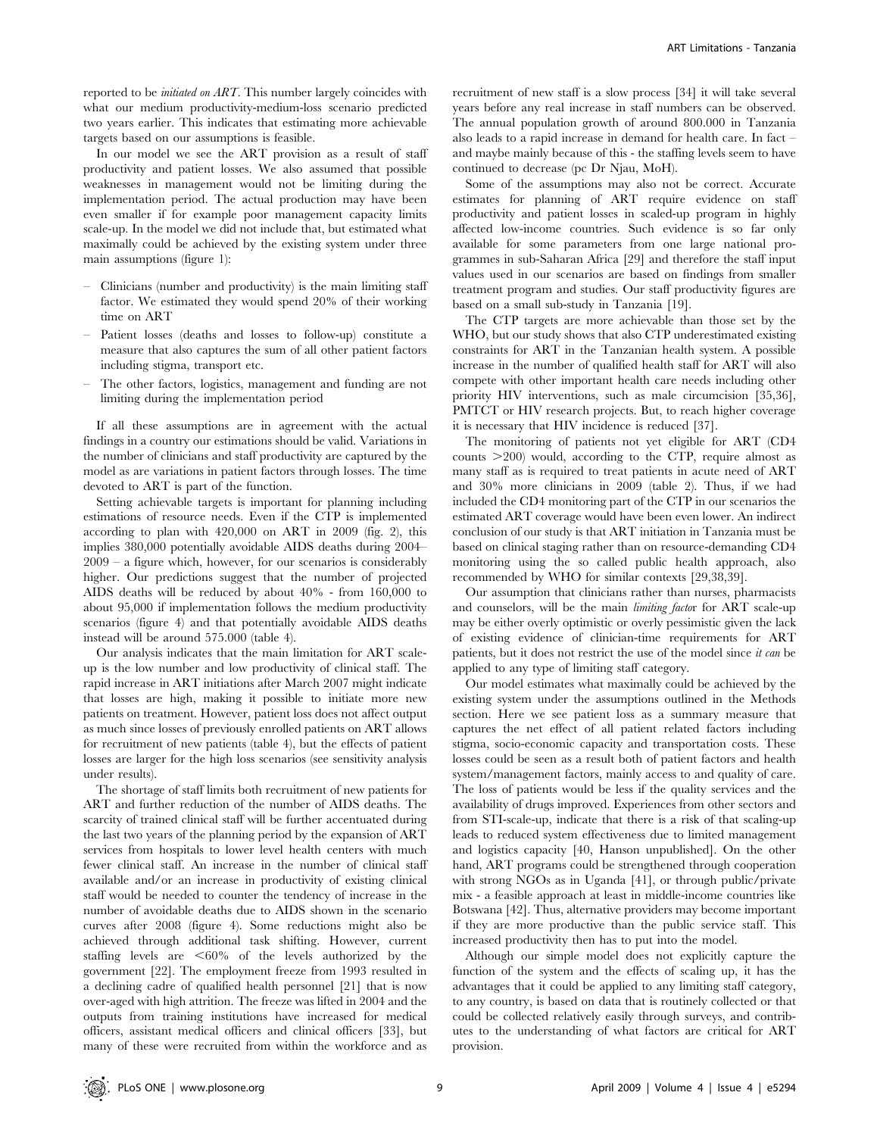reported to be *initiated on ART*. This number largely coincides with what our medium productivity-medium-loss scenario predicted two years earlier. This indicates that estimating more achievable targets based on our assumptions is feasible.

In our model we see the ART provision as a result of staff productivity and patient losses. We also assumed that possible weaknesses in management would not be limiting during the implementation period. The actual production may have been even smaller if for example poor management capacity limits scale-up. In the model we did not include that, but estimated what maximally could be achieved by the existing system under three main assumptions (figure 1):

- Clinicians (number and productivity) is the main limiting staff factor. We estimated they would spend 20% of their working time on ART
- Patient losses (deaths and losses to follow-up) constitute a measure that also captures the sum of all other patient factors including stigma, transport etc.
- The other factors, logistics, management and funding are not limiting during the implementation period

If all these assumptions are in agreement with the actual findings in a country our estimations should be valid. Variations in the number of clinicians and staff productivity are captured by the model as are variations in patient factors through losses. The time devoted to ART is part of the function.

Setting achievable targets is important for planning including estimations of resource needs. Even if the CTP is implemented according to plan with 420,000 on ART in 2009 (fig. 2), this implies 380,000 potentially avoidable AIDS deaths during 2004– 2009 – a figure which, however, for our scenarios is considerably higher. Our predictions suggest that the number of projected AIDS deaths will be reduced by about 40% - from 160,000 to about 95,000 if implementation follows the medium productivity scenarios (figure 4) and that potentially avoidable AIDS deaths instead will be around 575.000 (table 4).

Our analysis indicates that the main limitation for ART scaleup is the low number and low productivity of clinical staff. The rapid increase in ART initiations after March 2007 might indicate that losses are high, making it possible to initiate more new patients on treatment. However, patient loss does not affect output as much since losses of previously enrolled patients on ART allows for recruitment of new patients (table 4), but the effects of patient losses are larger for the high loss scenarios (see sensitivity analysis under results).

The shortage of staff limits both recruitment of new patients for ART and further reduction of the number of AIDS deaths. The scarcity of trained clinical staff will be further accentuated during the last two years of the planning period by the expansion of ART services from hospitals to lower level health centers with much fewer clinical staff. An increase in the number of clinical staff available and/or an increase in productivity of existing clinical staff would be needed to counter the tendency of increase in the number of avoidable deaths due to AIDS shown in the scenario curves after 2008 (figure 4). Some reductions might also be achieved through additional task shifting. However, current staffing levels are  $<60\%$  of the levels authorized by the government [22]. The employment freeze from 1993 resulted in a declining cadre of qualified health personnel [21] that is now over-aged with high attrition. The freeze was lifted in 2004 and the outputs from training institutions have increased for medical officers, assistant medical officers and clinical officers [33], but many of these were recruited from within the workforce and as

recruitment of new staff is a slow process [34] it will take several years before any real increase in staff numbers can be observed. The annual population growth of around 800.000 in Tanzania also leads to a rapid increase in demand for health care. In fact – and maybe mainly because of this - the staffing levels seem to have continued to decrease (pc Dr Njau, MoH).

Some of the assumptions may also not be correct. Accurate estimates for planning of ART require evidence on staff productivity and patient losses in scaled-up program in highly affected low-income countries. Such evidence is so far only available for some parameters from one large national programmes in sub-Saharan Africa [29] and therefore the staff input values used in our scenarios are based on findings from smaller treatment program and studies. Our staff productivity figures are based on a small sub-study in Tanzania [19].

The CTP targets are more achievable than those set by the WHO, but our study shows that also CTP underestimated existing constraints for ART in the Tanzanian health system. A possible increase in the number of qualified health staff for ART will also compete with other important health care needs including other priority HIV interventions, such as male circumcision [35,36], PMTCT or HIV research projects. But, to reach higher coverage it is necessary that HIV incidence is reduced [37].

The monitoring of patients not yet eligible for ART (CD4 counts  $>200$  would, according to the CTP, require almost as many staff as is required to treat patients in acute need of ART and 30% more clinicians in 2009 (table 2). Thus, if we had included the CD4 monitoring part of the CTP in our scenarios the estimated ART coverage would have been even lower. An indirect conclusion of our study is that ART initiation in Tanzania must be based on clinical staging rather than on resource-demanding CD4 monitoring using the so called public health approach, also recommended by WHO for similar contexts [29,38,39].

Our assumption that clinicians rather than nurses, pharmacists and counselors, will be the main limiting factor for ART scale-up may be either overly optimistic or overly pessimistic given the lack of existing evidence of clinician-time requirements for ART patients, but it does not restrict the use of the model since it can be applied to any type of limiting staff category.

Our model estimates what maximally could be achieved by the existing system under the assumptions outlined in the Methods section. Here we see patient loss as a summary measure that captures the net effect of all patient related factors including stigma, socio-economic capacity and transportation costs. These losses could be seen as a result both of patient factors and health system/management factors, mainly access to and quality of care. The loss of patients would be less if the quality services and the availability of drugs improved. Experiences from other sectors and from STI-scale-up, indicate that there is a risk of that scaling-up leads to reduced system effectiveness due to limited management and logistics capacity [40, Hanson unpublished]. On the other hand, ART programs could be strengthened through cooperation with strong NGOs as in Uganda [41], or through public/private mix - a feasible approach at least in middle-income countries like Botswana [42]. Thus, alternative providers may become important if they are more productive than the public service staff. This increased productivity then has to put into the model.

Although our simple model does not explicitly capture the function of the system and the effects of scaling up, it has the advantages that it could be applied to any limiting staff category, to any country, is based on data that is routinely collected or that could be collected relatively easily through surveys, and contributes to the understanding of what factors are critical for ART provision.